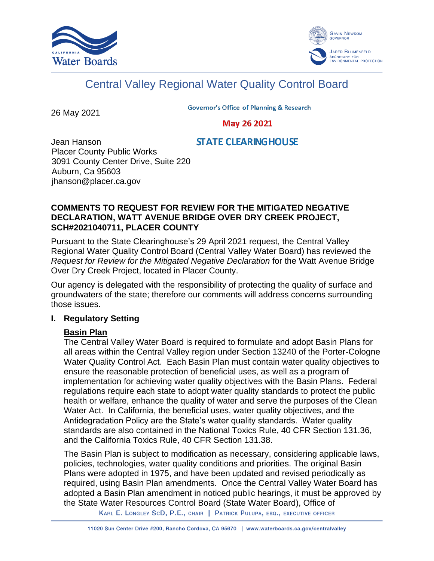



# Central Valley Regional Water Quality Control Board

26 May 2021

**Governor's Office of Planning & Research** 

May 26 2021

# **STATE CLEARING HOUSE**

Jean Hanson Placer County Public Works 3091 County Center Drive, Suite 220 Auburn, Ca 95603 jhanson@placer.ca.gov

## **COMMENTS TO REQUEST FOR REVIEW FOR THE MITIGATED NEGATIVE DECLARATION, WATT AVENUE BRIDGE OVER DRY CREEK PROJECT, SCH#2021040711, PLACER COUNTY**

Pursuant to the State Clearinghouse's 29 April 2021 request, the Central Valley Regional Water Quality Control Board (Central Valley Water Board) has reviewed the *Request for Review for the Mitigated Negative Declaration* for the Watt Avenue Bridge Over Dry Creek Project, located in Placer County.

Our agency is delegated with the responsibility of protecting the quality of surface and groundwaters of the state; therefore our comments will address concerns surrounding those issues.

# **I. Regulatory Setting**

# **Basin Plan**

The Central Valley Water Board is required to formulate and adopt Basin Plans for all areas within the Central Valley region under Section 13240 of the Porter-Cologne Water Quality Control Act. Each Basin Plan must contain water quality objectives to ensure the reasonable protection of beneficial uses, as well as a program of implementation for achieving water quality objectives with the Basin Plans. Federal regulations require each state to adopt water quality standards to protect the public health or welfare, enhance the quality of water and serve the purposes of the Clean Water Act. In California, the beneficial uses, water quality objectives, and the Antidegradation Policy are the State's water quality standards. Water quality standards are also contained in the National Toxics Rule, 40 CFR Section 131.36, and the California Toxics Rule, 40 CFR Section 131.38.

The Basin Plan is subject to modification as necessary, considering applicable laws, policies, technologies, water quality conditions and priorities. The original Basin Plans were adopted in 1975, and have been updated and revised periodically as required, using Basin Plan amendments. Once the Central Valley Water Board has adopted a Basin Plan amendment in noticed public hearings, it must be approved by the State Water Resources Control Board (State Water Board), Office of

KARL E. LONGLEY SCD, P.E., CHAIR | PATRICK PULUPA, ESQ., EXECUTIVE OFFICER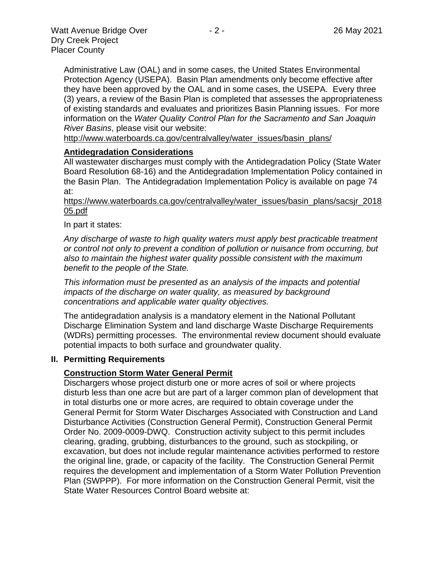Administrative Law (OAL) and in some cases, the United States Environmental Protection Agency (USEPA). Basin Plan amendments only become effective after they have been approved by the OAL and in some cases, the USEPA. Every three (3) years, a review of the Basin Plan is completed that assesses the appropriateness of existing standards and evaluates and prioritizes Basin Planning issues. For more information on the *Water Quality Control Plan for the Sacramento and San Joaquin* 

*River Basins*, please visit our website:

[http://www.waterboards.ca.gov/centralvalley/water\\_issues/basin\\_plans/](http://www.waterboards.ca.gov/centralvalley/water_issues/basin_plans/)

#### **Antidegradation Considerations**

All wastewater discharges must comply with the Antidegradation Policy (State Water Board Resolution 68-16) and the Antidegradation Implementation Policy contained in the Basin Plan. The Antidegradation Implementation Policy is available on page 74 at:

https://www.waterboards.ca.gov/centralvalley/water\_issues/basin\_plans/sacsjr\_2018 05.pdf

In part it states:

*Any discharge of waste to high quality waters must apply best practicable treatment or control not only to prevent a condition of pollution or nuisance from occurring, but also to maintain the highest water quality possible consistent with the maximum benefit to the people of the State.*

*This information must be presented as an analysis of the impacts and potential impacts of the discharge on water quality, as measured by background concentrations and applicable water quality objectives.*

The antidegradation analysis is a mandatory element in the National Pollutant Discharge Elimination System and land discharge Waste Discharge Requirements (WDRs) permitting processes. The environmental review document should evaluate potential impacts to both surface and groundwater quality.

#### **II. Permitting Requirements**

#### **Construction Storm Water General Permit**

Dischargers whose project disturb one or more acres of soil or where projects disturb less than one acre but are part of a larger common plan of development that in total disturbs one or more acres, are required to obtain coverage under the General Permit for Storm Water Discharges Associated with Construction and Land Disturbance Activities (Construction General Permit), Construction General Permit Order No. 2009-0009-DWQ. Construction activity subject to this permit includes clearing, grading, grubbing, disturbances to the ground, such as stockpiling, or excavation, but does not include regular maintenance activities performed to restore the original line, grade, or capacity of the facility. The Construction General Permit requires the development and implementation of a Storm Water Pollution Prevention Plan (SWPPP). For more information on the Construction General Permit, visit the State Water Resources Control Board website at: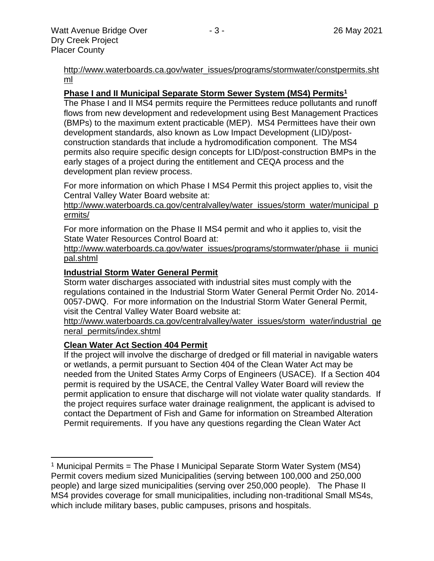[http://www.waterboards.ca.gov/water\\_issues/programs/stormwater/constpermits.sht](http://www.waterboards.ca.gov/water_issues/programs/stormwater/constpermits.shtml) [ml](http://www.waterboards.ca.gov/water_issues/programs/stormwater/constpermits.shtml)

#### **Phase I and II Municipal Separate Storm Sewer System (MS4) Permits<sup>1</sup>**

The Phase I and II MS4 permits require the Permittees reduce pollutants and runoff flows from new development and redevelopment using Best Management Practices (BMPs) to the maximum extent practicable (MEP). MS4 Permittees have their own development standards, also known as Low Impact Development (LID)/postconstruction standards that include a hydromodification component. The MS4 permits also require specific design concepts for LID/post-construction BMPs in the early stages of a project during the entitlement and CEQA process and the development plan review process.

For more information on which Phase I MS4 Permit this project applies to, visit the Central Valley Water Board website at:

http://www.waterboards.ca.gov/centralvalley/water\_issues/storm\_water/municipal\_p ermits/

For more information on the Phase II MS4 permit and who it applies to, visit the State Water Resources Control Board at:

http://www.waterboards.ca.gov/water\_issues/programs/stormwater/phase\_ii\_munici pal.shtml

#### **Industrial Storm Water General Permit**

Storm water discharges associated with industrial sites must comply with the regulations contained in the Industrial Storm Water General Permit Order No. 2014- 0057-DWQ. For more information on the Industrial Storm Water General Permit, visit the Central Valley Water Board website at:

http://www.waterboards.ca.gov/centralvalley/water\_issues/storm\_water/industrial\_ge neral\_permits/index.shtml

#### **Clean Water Act Section 404 Permit**

If the project will involve the discharge of dredged or fill material in navigable waters or wetlands, a permit pursuant to Section 404 of the Clean Water Act may be needed from the United States Army Corps of Engineers (USACE). If a Section 404 permit is required by the USACE, the Central Valley Water Board will review the permit application to ensure that discharge will not violate water quality standards. If the project requires surface water drainage realignment, the applicant is advised to contact the Department of Fish and Game for information on Streambed Alteration Permit requirements. If you have any questions regarding the Clean Water Act

<sup>&</sup>lt;sup>1</sup> Municipal Permits = The Phase I Municipal Separate Storm Water System (MS4) Permit covers medium sized Municipalities (serving between 100,000 and 250,000 people) and large sized municipalities (serving over 250,000 people). The Phase II MS4 provides coverage for small municipalities, including non-traditional Small MS4s, which include military bases, public campuses, prisons and hospitals.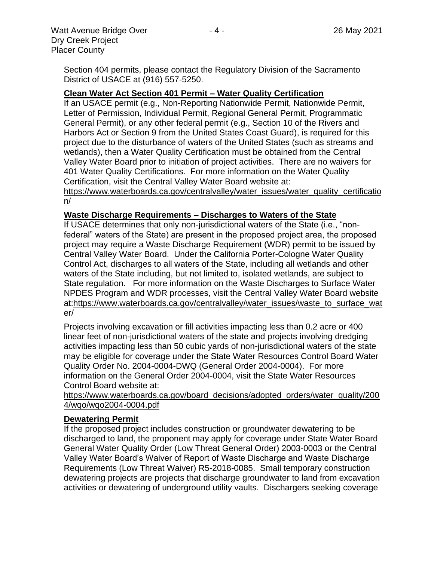## **Clean Water Act Section 401 Permit – Water Quality Certification**

If an USACE permit (e.g., Non-Reporting Nationwide Permit, Nationwide Permit, Letter of Permission, Individual Permit, Regional General Permit, Programmatic General Permit), or any other federal permit (e.g., Section 10 of the Rivers and Harbors Act or Section 9 from the United States Coast Guard), is required for this project due to the disturbance of waters of the United States (such as streams and wetlands), then a Water Quality Certification must be obtained from the Central Valley Water Board prior to initiation of project activities. There are no waivers for 401 Water Quality Certifications. For more information on the Water Quality Certification, visit the Central Valley Water Board website at:

https://www.waterboards.ca.gov/centralvalley/water\_issues/water\_quality\_certificatio n/

#### **Waste Discharge Requirements – Discharges to Waters of the State**

If USACE determines that only non-jurisdictional waters of the State (i.e., "nonfederal" waters of the State) are present in the proposed project area, the proposed project may require a Waste Discharge Requirement (WDR) permit to be issued by Central Valley Water Board. Under the California Porter-Cologne Water Quality Control Act, discharges to all waters of the State, including all wetlands and other waters of the State including, but not limited to, isolated wetlands, are subject to State regulation. For more information on the Waste Discharges to Surface Water NPDES Program and WDR processes, visit the Central Valley Water Board website at:https://www.waterboards.ca.gov/centralvalley/water\_issues/waste\_to\_surface\_wat er/

Projects involving excavation or fill activities impacting less than 0.2 acre or 400 linear feet of non-jurisdictional waters of the state and projects involving dredging activities impacting less than 50 cubic yards of non-jurisdictional waters of the state may be eligible for coverage under the State Water Resources Control Board Water Quality Order No. 2004-0004-DWQ (General Order 2004-0004). For more information on the General Order 2004-0004, visit the State Water Resources Control Board website at:

https://www.waterboards.ca.gov/board\_decisions/adopted\_orders/water\_quality/200 4/wqo/wqo2004-0004.pdf

#### **Dewatering Permit**

If the proposed project includes construction or groundwater dewatering to be discharged to land, the proponent may apply for coverage under State Water Board General Water Quality Order (Low Threat General Order) 2003-0003 or the Central Valley Water Board's Waiver of Report of Waste Discharge and Waste Discharge Requirements (Low Threat Waiver) R5-2018-0085. Small temporary construction dewatering projects are projects that discharge groundwater to land from excavation activities or dewatering of underground utility vaults. Dischargers seeking coverage